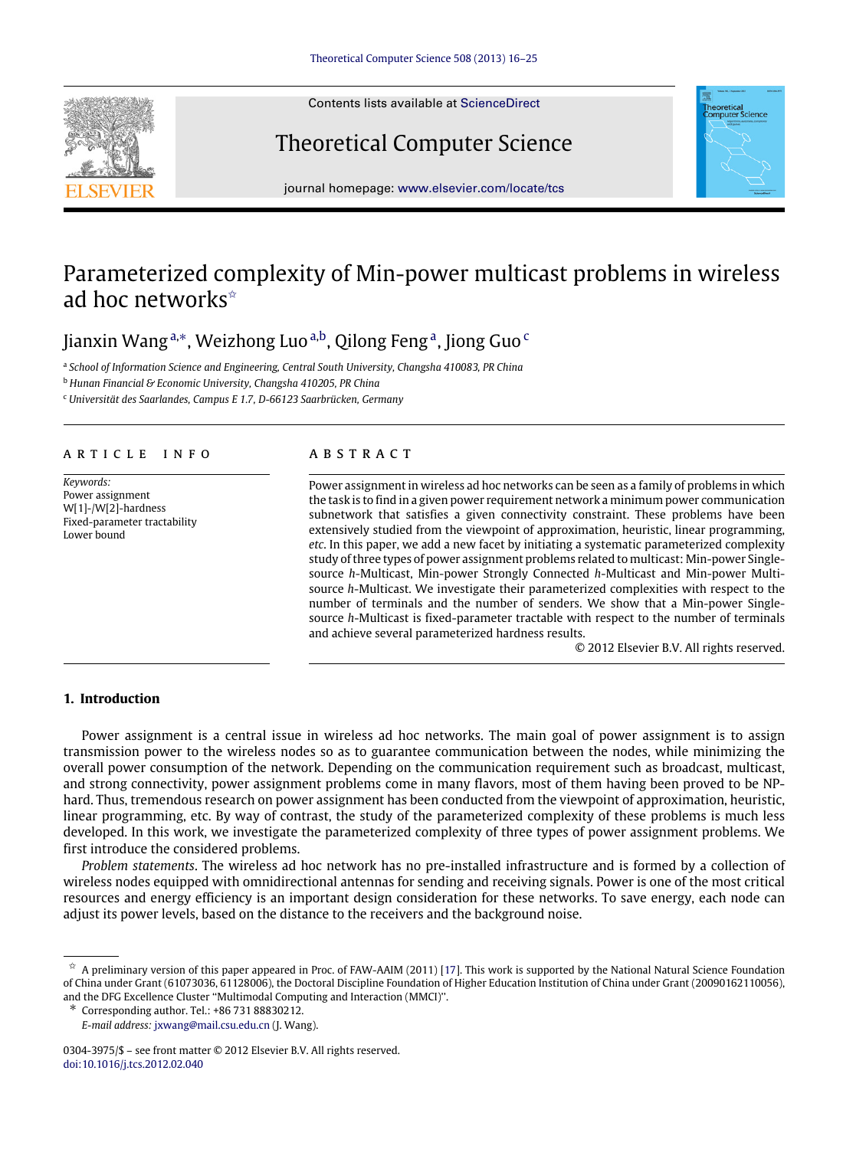

Contents lists available at [ScienceDirect](http://www.elsevier.com/locate/tcs)

# Theoretical Computer Science



journal homepage: [www.elsevier.com/locate/tcs](http://www.elsevier.com/locate/tcs)

## Parameterized complexity of Min-power multicast problems in wireless ad hoc networks<sup>\*</sup>

### Jianxin Wang<sup>[a,](#page-0-1)</sup>\*, Weizhong Luo<sup>[a](#page-0-1)[,b](#page-0-3)</sup>, Qilong Feng<sup>a</sup>, Jiong Guo<sup>[c](#page-0-4)</sup>

<span id="page-0-1"></span>a *School of Information Science and Engineering, Central South University, Changsha 410083, PR China*

<span id="page-0-3"></span><sup>b</sup> *Hunan Financial & Economic University, Changsha 410205, PR China*

<span id="page-0-4"></span><sup>c</sup> *Universität des Saarlandes, Campus E 1.7, D-66123 Saarbrücken, Germany*

#### ARTICLE INFO

*Keywords:* Power assignment W[1]-/W[2]-hardness Fixed-parameter tractability Lower bound

#### A B S T R A C T

Power assignment in wireless ad hoc networks can be seen as a family of problems in which the task is to find in a given power requirement network a minimum power communication subnetwork that satisfies a given connectivity constraint. These problems have been extensively studied from the viewpoint of approximation, heuristic, linear programming, *etc*. In this paper, we add a new facet by initiating a systematic parameterized complexity study of three types of power assignment problems related to multicast: Min-power Singlesource *h*-Multicast, Min-power Strongly Connected *h*-Multicast and Min-power Multisource *h*-Multicast. We investigate their parameterized complexities with respect to the number of terminals and the number of senders. We show that a Min-power Singlesource *h*-Multicast is fixed-parameter tractable with respect to the number of terminals and achieve several parameterized hardness results.

© 2012 Elsevier B.V. All rights reserved.

#### **1. Introduction**

Power assignment is a central issue in wireless ad hoc networks. The main goal of power assignment is to assign transmission power to the wireless nodes so as to guarantee communication between the nodes, while minimizing the overall power consumption of the network. Depending on the communication requirement such as broadcast, multicast, and strong connectivity, power assignment problems come in many flavors, most of them having been proved to be NPhard. Thus, tremendous research on power assignment has been conducted from the viewpoint of approximation, heuristic, linear programming, etc. By way of contrast, the study of the parameterized complexity of these problems is much less developed. In this work, we investigate the parameterized complexity of three types of power assignment problems. We first introduce the considered problems.

*Problem statements*. The wireless ad hoc network has no pre-installed infrastructure and is formed by a collection of wireless nodes equipped with omnidirectional antennas for sending and receiving signals. Power is one of the most critical resources and energy efficiency is an important design consideration for these networks. To save energy, each node can adjust its power levels, based on the distance to the receivers and the background noise.

<span id="page-0-0"></span> $\hat{\mathbf{x}}$  A preliminary version of this paper appeared in Proc. of FAW-AAIM (2011) [\[17\]](#page--1-0). This work is supported by the National Natural Science Foundation of China under Grant (61073036, 61128006), the Doctoral Discipline Foundation of Higher Education Institution of China under Grant (20090162110056), and the DFG Excellence Cluster ''Multimodal Computing and Interaction (MMCI)''.

<span id="page-0-2"></span><sup>∗</sup> Corresponding author. Tel.: +86 731 88830212.

*E-mail address:* [jxwang@mail.csu.edu.cn](mailto:jxwang@mail.csu.edu.cn) (J. Wang).

<sup>0304-3975/\$ –</sup> see front matter © 2012 Elsevier B.V. All rights reserved. [doi:10.1016/j.tcs.2012.02.040](http://dx.doi.org/10.1016/j.tcs.2012.02.040)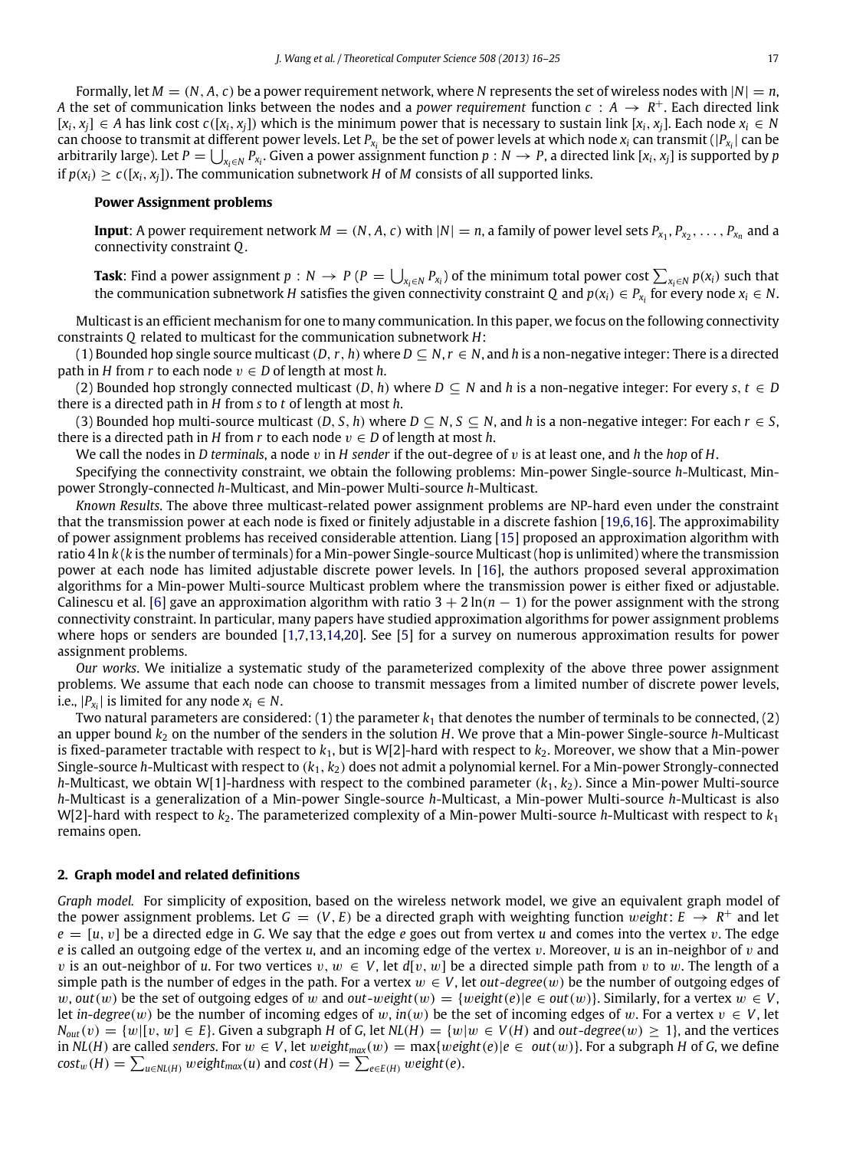Formally, let  $M = (N, A, c)$  be a power requirement network, where N represents the set of wireless nodes with  $|N| = n$ , *A* the set of communication links between the nodes and a *power requirement* function  $c : A \to R^+$ . Each directed link  $[x_i, x_j] \in A$  has link cost  $c([x_i, x_j])$  which is the minimum power that is necessary to sustain link  $[x_i, x_j]$ . Each node  $x_i \in N$ can choose to transmit at different power levels. Let  $P_{x_i}$  be the set of power levels at which node  $x_i$  can transmit ( $|P_{x_i}|$  can be arbitrarily large). Let  $P=\bigcup_{x_i\in N}P_{x_i}$ . Given a power assignment function  $p:N\to P$ , a directed link  $[x_i,x_j]$  is supported by  $p$ if  $p(x_i) \ge c({x_i, x_i})$ . The communication subnetwork *H* of *M* consists of all supported links.

#### **Power Assignment problems**

**Input**: A power requirement network  $M = (N, A, c)$  with  $|N| = n$ , a family of power level sets  $P_{x_1}, P_{x_2}, \ldots, P_{x_n}$  and a connectivity constraint *Q*.

**Task:** Find a power assignment  $p: N \to P$  ( $P = \bigcup_{x_i \in N} P_{x_i}$ ) of the minimum total power cost  $\sum_{x_i \in N} p(x_i)$  such that the communication subnetwork *H* satisfies the given connectivity constraint *Q* and  $p(x_i) \in P_{x_i}$  for every node  $x_i \in N$ .

Multicast is an efficient mechanism for one to many communication. In this paper, we focus on the following connectivity constraints *Q* related to multicast for the communication subnetwork *H*:

(1) Bounded hop single source multicast  $(D, r, h)$  where  $D \subseteq N, r \in N$ , and h is a non-negative integer: There is a directed path in *H* from *r* to each node  $v \in D$  of length at most *h*.

(2) Bounded hop strongly connected multicast  $(D, h)$  where  $D \subseteq N$  and  $h$  is a non-negative integer: For every  $s, t \in D$ there is a directed path in *H* from *s* to *t* of length at most *h*.

(3) Bounded hop multi-source multicast  $(D, S, h)$  where  $D \subseteq N$ ,  $S \subseteq N$ , and h is a non-negative integer: For each  $r \in S$ , there is a directed path in *H* from *r* to each node  $v \in D$  of length at most *h*.

We call the nodes in *D terminals*, a node v in *H sender* if the out-degree of v is at least one, and *h* the *hop* of *H*.

Specifying the connectivity constraint, we obtain the following problems: Min-power Single-source *h*-Multicast, Minpower Strongly-connected *h*-Multicast, and Min-power Multi-source *h*-Multicast.

*Known Results*. The above three multicast-related power assignment problems are NP-hard even under the constraint that the transmission power at each node is fixed or finitely adjustable in a discrete fashion [\[19](#page--1-1)[,6](#page--1-2)[,16\]](#page--1-3). The approximability of power assignment problems has received considerable attention. Liang [\[15\]](#page--1-4) proposed an approximation algorithm with ratio 4 ln *k* (*k* is the number of terminals) for a Min-power Single-source Multicast (hop is unlimited) where the transmission power at each node has limited adjustable discrete power levels. In [\[16\]](#page--1-3), the authors proposed several approximation algorithms for a Min-power Multi-source Multicast problem where the transmission power is either fixed or adjustable. Calinescu et al. [\[6\]](#page--1-2) gave an approximation algorithm with ratio  $3 + 2 \ln(n - 1)$  for the power assignment with the strong connectivity constraint. In particular, many papers have studied approximation algorithms for power assignment problems where hops or senders are bounded [\[1](#page--1-5)[,7](#page--1-6)[,13,](#page--1-7)[14](#page--1-8)[,20\]](#page--1-9). See [\[5\]](#page--1-10) for a survey on numerous approximation results for power assignment problems.

*Our works*. We initialize a systematic study of the parameterized complexity of the above three power assignment problems. We assume that each node can choose to transmit messages from a limited number of discrete power levels, i.e.,  $|P_{x_i}|$  is limited for any node  $x_i \in N$ .

Two natural parameters are considered:  $(1)$  the parameter  $k_1$  that denotes the number of terminals to be connected,  $(2)$ an upper bound *k*<sup>2</sup> on the number of the senders in the solution *H*. We prove that a Min-power Single-source *h*-Multicast is fixed-parameter tractable with respect to *k*1, but is W[2]-hard with respect to *k*2. Moreover, we show that a Min-power Single-source *h*-Multicast with respect to (*k*1, *k*2) does not admit a polynomial kernel. For a Min-power Strongly-connected *h*-Multicast, we obtain W[1]-hardness with respect to the combined parameter  $(k_1, k_2)$ . Since a Min-power Multi-source *h*-Multicast is a generalization of a Min-power Single-source *h*-Multicast, a Min-power Multi-source *h*-Multicast is also W[2]-hard with respect to  $k_2$ . The parameterized complexity of a Min-power Multi-source *h*-Multicast with respect to  $k_1$ remains open.

#### **2. Graph model and related definitions**

*Graph model.* For simplicity of exposition, based on the wireless network model, we give an equivalent graph model of the power assignment problems. Let  $G = (V, E)$  be a directed graph with weighting function weight:  $E \to R^+$  and let *e* = [*u*, v] be a directed edge in *G*. We say that the edge *e* goes out from vertex *u* and comes into the vertex v. The edge *e* is called an outgoing edge of the vertex *u*, and an incoming edge of the vertex v. Moreover, *u* is an in-neighbor of v and v is an out-neighbor of *u*. For two vertices  $v, w \in V$ , let  $d[v, w]$  be a directed simple path from v to w. The length of a simple path is the number of edges in the path. For a vertex  $w \in V$ , let *out-degree*(w) be the number of outgoing edges of w,  $out(w)$  be the set of outgoing edges of w and  $out-weight(w) = \{weight(e) | e \in out(w)\}\)$ . Similarly, for a vertex  $w \in V$ , let *in-degree*(w) be the number of incoming edges of w, *in*(w) be the set of incoming edges of w. For a vertex  $v \in V$ , let  $N_{out}(v) = \{w | [v, w] \in E\}$ . Given a subgraph *H* of *G*, let *NL*(*H*) =  $\{w | w \in V$ (*H*) and *out*-*degree*(*w*) ≥ 1}, and the vertices in *NL*(*H*) are called *senders*. For  $w \in V$ , let  $weight_{max}(w) = max{weight(e) | e \in out(w)}$ . For a subgraph *H* of *G*, we define  $cost_w(H) = \sum_{u \in NL(H)} weight_{max}(u)$  and  $cost(H) = \sum_{e \in E(H)} weight(e)$ .